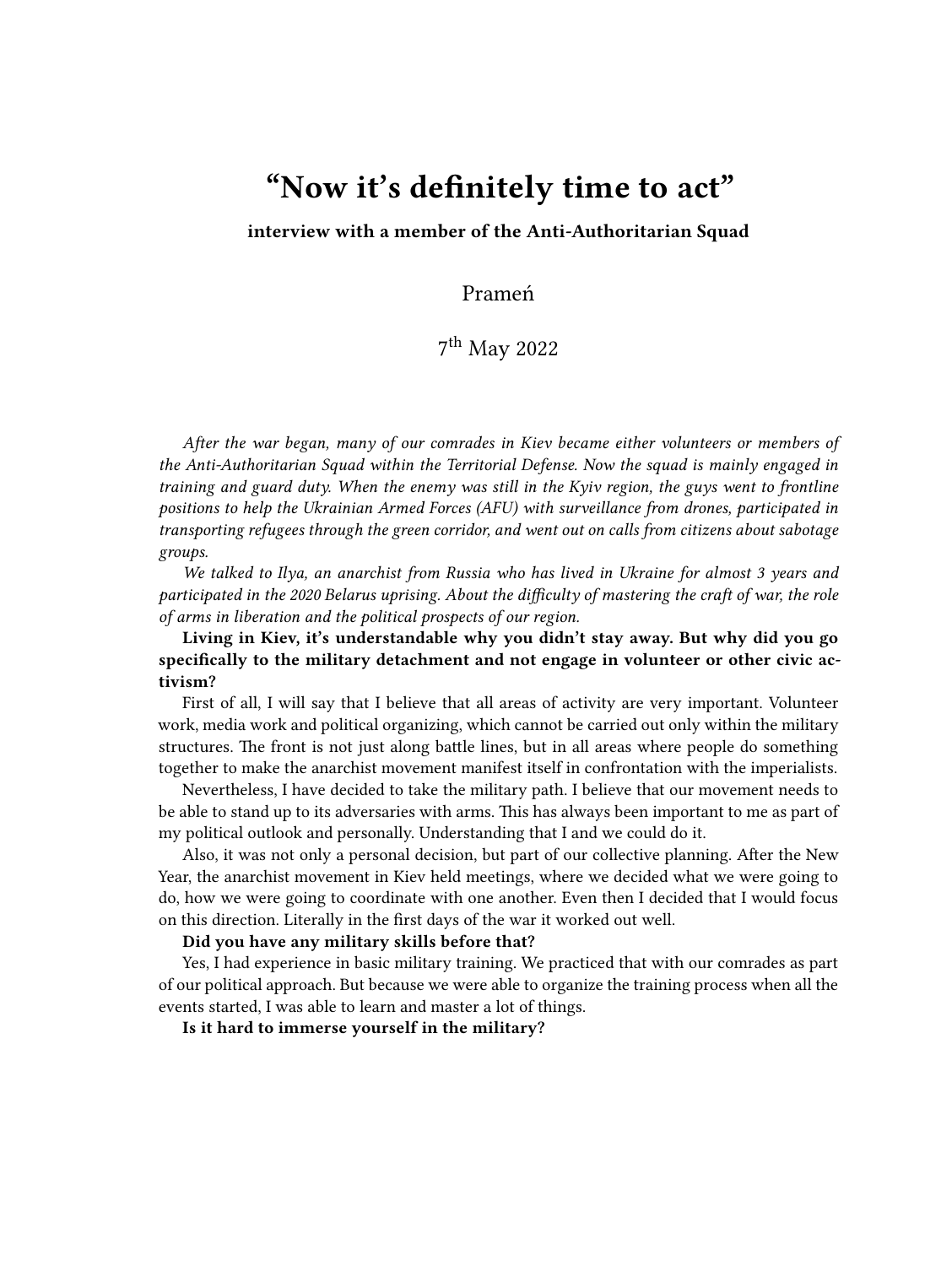## **"Now it's definitely time to act"**

**interview with a member of the Anti-Authoritarian Squad**

Prameń

7 th May 2022

*After the war began, many of our comrades in Kiev became either volunteers or members of the Anti-Authoritarian Squad within the Territorial Defense. Now the squad is mainly engaged in training and guard duty. When the enemy was still in the Kyiv region, the guys went to frontline positions to help the Ukrainian Armed Forces (AFU) with surveillance from drones, participated in transporting refugees through the green corridor, and went out on calls from citizens about sabotage groups.*

*We talked to Ilya, an anarchist from Russia who has lived in Ukraine for almost 3 years and participated in the 2020 Belarus uprising. About the difficulty of mastering the craft of war, the role of arms in liberation and the political prospects of our region.*

**Living in Kiev, it's understandable why you didn't stay away. But why did you go specifically to the military detachment and not engage in volunteer or other civic activism?**

First of all, I will say that I believe that all areas of activity are very important. Volunteer work, media work and political organizing, which cannot be carried out only within the military structures. The front is not just along battle lines, but in all areas where people do something together to make the anarchist movement manifest itself in confrontation with the imperialists.

Nevertheless, I have decided to take the military path. I believe that our movement needs to be able to stand up to its adversaries with arms. This has always been important to me as part of my political outlook and personally. Understanding that I and we could do it.

Also, it was not only a personal decision, but part of our collective planning. After the New Year, the anarchist movement in Kiev held meetings, where we decided what we were going to do, how we were going to coordinate with one another. Even then I decided that I would focus on this direction. Literally in the first days of the war it worked out well.

**Did you have any military skills before that?**

Yes, I had experience in basic military training. We practiced that with our comrades as part of our political approach. But because we were able to organize the training process when all the events started, I was able to learn and master a lot of things.

**Is it hard to immerse yourself in the military?**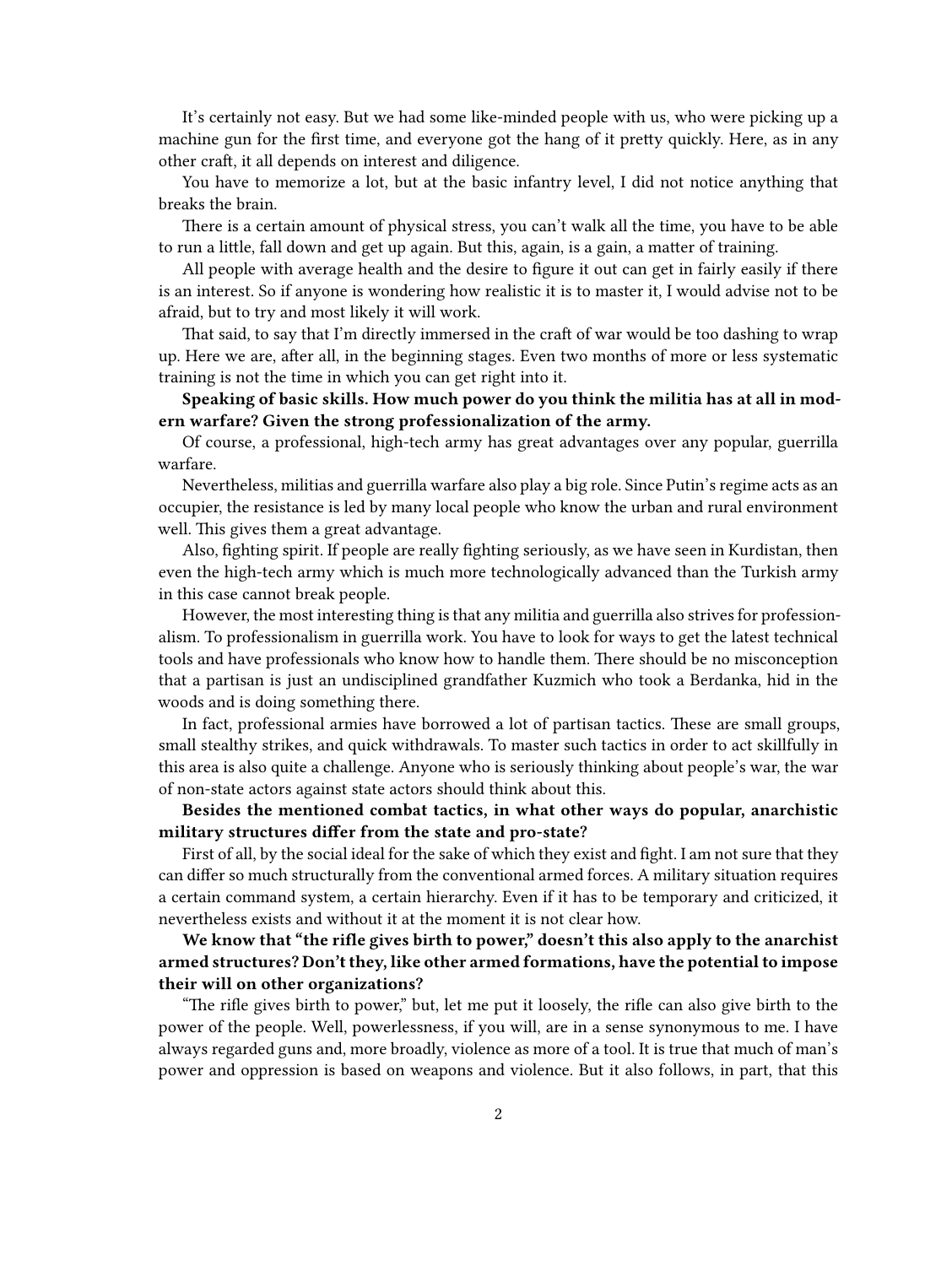It's certainly not easy. But we had some like-minded people with us, who were picking up a machine gun for the first time, and everyone got the hang of it pretty quickly. Here, as in any other craft, it all depends on interest and diligence.

You have to memorize a lot, but at the basic infantry level, I did not notice anything that breaks the brain.

There is a certain amount of physical stress, you can't walk all the time, you have to be able to run a little, fall down and get up again. But this, again, is a gain, a matter of training.

All people with average health and the desire to figure it out can get in fairly easily if there is an interest. So if anyone is wondering how realistic it is to master it, I would advise not to be afraid, but to try and most likely it will work.

That said, to say that I'm directly immersed in the craft of war would be too dashing to wrap up. Here we are, after all, in the beginning stages. Even two months of more or less systematic training is not the time in which you can get right into it.

**Speaking of basic skills. How much power do you think the militia has at all in modern warfare? Given the strong professionalization of the army.**

Of course, a professional, high-tech army has great advantages over any popular, guerrilla warfare.

Nevertheless, militias and guerrilla warfare also play a big role. Since Putin's regime acts as an occupier, the resistance is led by many local people who know the urban and rural environment well. This gives them a great advantage.

Also, fighting spirit. If people are really fighting seriously, as we have seen in Kurdistan, then even the high-tech army which is much more technologically advanced than the Turkish army in this case cannot break people.

However, the most interesting thing is that any militia and guerrilla also strives for professionalism. To professionalism in guerrilla work. You have to look for ways to get the latest technical tools and have professionals who know how to handle them. There should be no misconception that a partisan is just an undisciplined grandfather Kuzmich who took a Berdanka, hid in the woods and is doing something there.

In fact, professional armies have borrowed a lot of partisan tactics. These are small groups, small stealthy strikes, and quick withdrawals. To master such tactics in order to act skillfully in this area is also quite a challenge. Anyone who is seriously thinking about people's war, the war of non-state actors against state actors should think about this.

**Besides the mentioned combat tactics, in what other ways do popular, anarchistic military structures differ from the state and pro-state?**

First of all, by the social ideal for the sake of which they exist and fight. I am not sure that they can differ so much structurally from the conventional armed forces. A military situation requires a certain command system, a certain hierarchy. Even if it has to be temporary and criticized, it nevertheless exists and without it at the moment it is not clear how.

**We know that "the rifle gives birth to power," doesn't this also apply to the anarchist armed structures? Don't they, like other armed formations, have the potential to impose their will on other organizations?**

"The rifle gives birth to power," but, let me put it loosely, the rifle can also give birth to the power of the people. Well, powerlessness, if you will, are in a sense synonymous to me. I have always regarded guns and, more broadly, violence as more of a tool. It is true that much of man's power and oppression is based on weapons and violence. But it also follows, in part, that this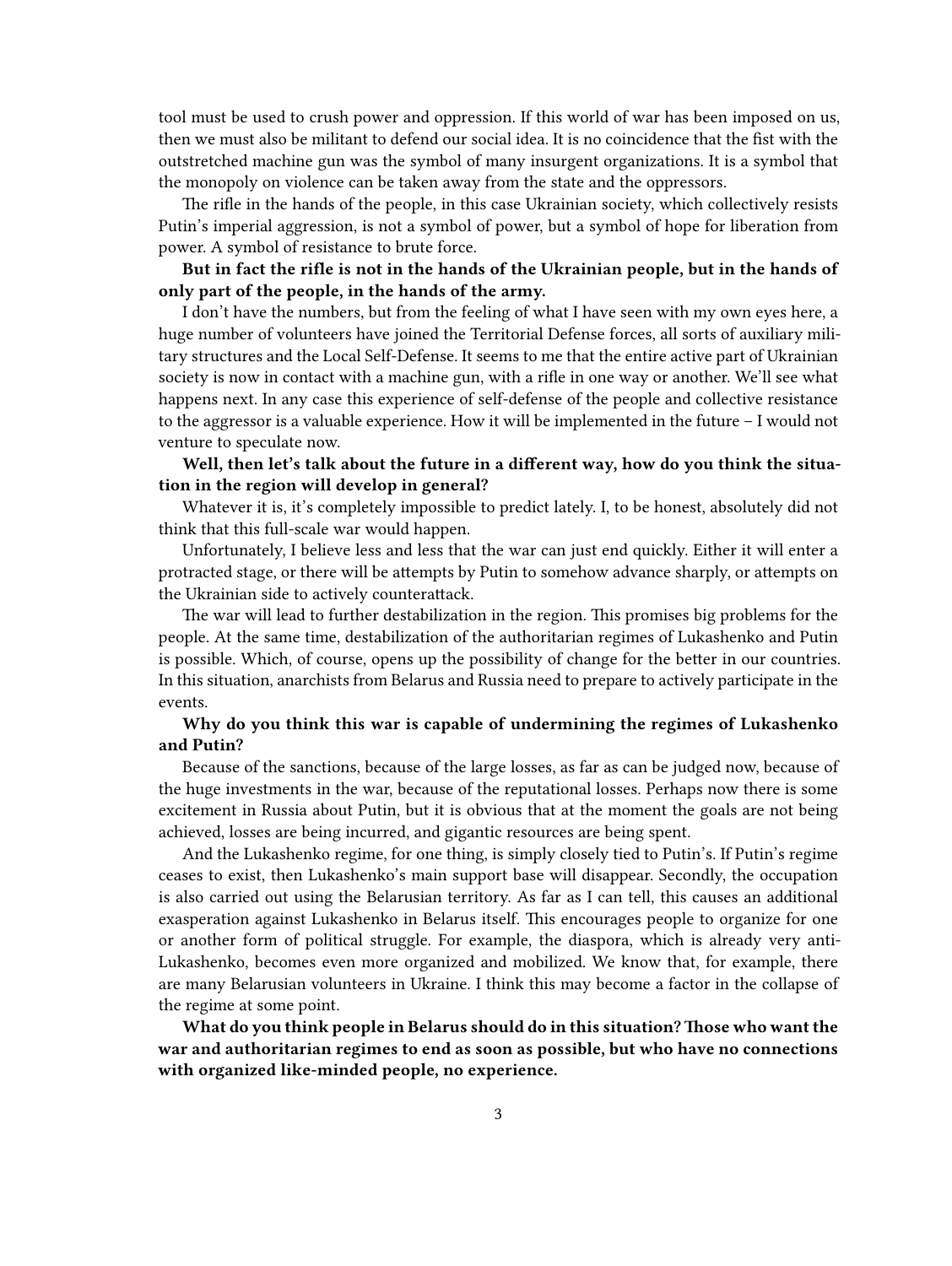tool must be used to crush power and oppression. If this world of war has been imposed on us, then we must also be militant to defend our social idea. It is no coincidence that the fist with the outstretched machine gun was the symbol of many insurgent organizations. It is a symbol that the monopoly on violence can be taken away from the state and the oppressors.

The rifle in the hands of the people, in this case Ukrainian society, which collectively resists Putin's imperial aggression, is not a symbol of power, but a symbol of hope for liberation from power. A symbol of resistance to brute force.

**But in fact the rifle is not in the hands of the Ukrainian people, but in the hands of only part of the people, in the hands of the army.**

I don't have the numbers, but from the feeling of what I have seen with my own eyes here, a huge number of volunteers have joined the Territorial Defense forces, all sorts of auxiliary military structures and the Local Self-Defense. It seems to me that the entire active part of Ukrainian society is now in contact with a machine gun, with a rifle in one way or another. We'll see what happens next. In any case this experience of self-defense of the people and collective resistance to the aggressor is a valuable experience. How it will be implemented in the future – I would not venture to speculate now.

## **Well, then let's talk about the future in a different way, how do you think the situation in the region will develop in general?**

Whatever it is, it's completely impossible to predict lately. I, to be honest, absolutely did not think that this full-scale war would happen.

Unfortunately, I believe less and less that the war can just end quickly. Either it will enter a protracted stage, or there will be attempts by Putin to somehow advance sharply, or attempts on the Ukrainian side to actively counterattack.

The war will lead to further destabilization in the region. This promises big problems for the people. At the same time, destabilization of the authoritarian regimes of Lukashenko and Putin is possible. Which, of course, opens up the possibility of change for the better in our countries. In this situation, anarchists from Belarus and Russia need to prepare to actively participate in the events.

## **Why do you think this war is capable of undermining the regimes of Lukashenko and Putin?**

Because of the sanctions, because of the large losses, as far as can be judged now, because of the huge investments in the war, because of the reputational losses. Perhaps now there is some excitement in Russia about Putin, but it is obvious that at the moment the goals are not being achieved, losses are being incurred, and gigantic resources are being spent.

And the Lukashenko regime, for one thing, is simply closely tied to Putin's. If Putin's regime ceases to exist, then Lukashenko's main support base will disappear. Secondly, the occupation is also carried out using the Belarusian territory. As far as I can tell, this causes an additional exasperation against Lukashenko in Belarus itself. This encourages people to organize for one or another form of political struggle. For example, the diaspora, which is already very anti-Lukashenko, becomes even more organized and mobilized. We know that, for example, there are many Belarusian volunteers in Ukraine. I think this may become a factor in the collapse of the regime at some point.

**What do you think people in Belarus should do in this situation?Those who want the war and authoritarian regimes to end as soon as possible, but who have no connections with organized like-minded people, no experience.**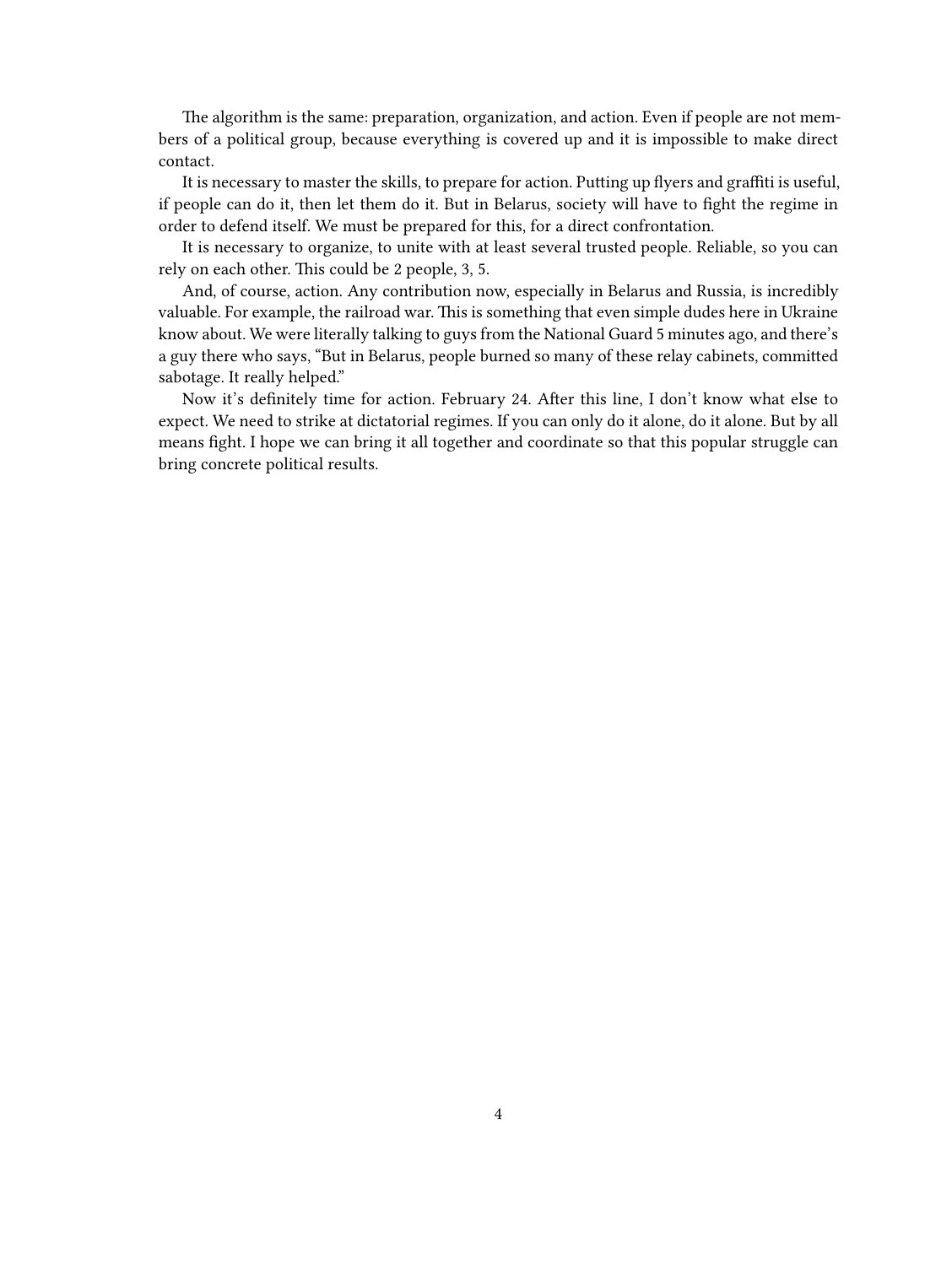The algorithm is the same: preparation, organization, and action. Even if people are not members of a political group, because everything is covered up and it is impossible to make direct contact.

It is necessary to master the skills, to prepare for action. Putting up flyers and graffiti is useful, if people can do it, then let them do it. But in Belarus, society will have to fight the regime in order to defend itself. We must be prepared for this, for a direct confrontation.

It is necessary to organize, to unite with at least several trusted people. Reliable, so you can rely on each other. This could be 2 people, 3, 5.

And, of course, action. Any contribution now, especially in Belarus and Russia, is incredibly valuable. For example, the railroad war. This is something that even simple dudes here in Ukraine know about. We were literally talking to guys from the National Guard 5 minutes ago, and there's a guy there who says, "But in Belarus, people burned so many of these relay cabinets, committed sabotage. It really helped."

Now it's definitely time for action. February 24. After this line, I don't know what else to expect. We need to strike at dictatorial regimes. If you can only do it alone, do it alone. But by all means fight. I hope we can bring it all together and coordinate so that this popular struggle can bring concrete political results.